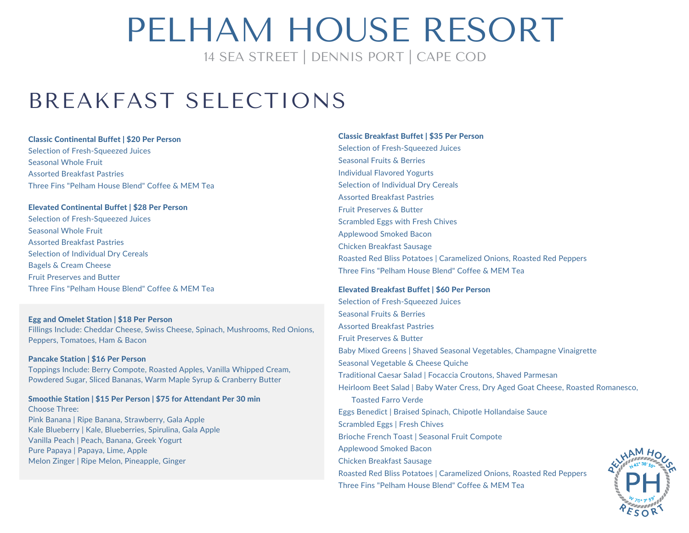14 SEA STREET | DENNIS PORT | CAPE COD

### BREAKFAST SELECTIONS

### Classic Continental Buffet | \$20 Per Person Selection of Fresh-Squeezed Juices Seasonal Whole Fruit Assorted Breakfast Pastries Three Fins "Pelham House Blend" Coffee & MEM Tea

### Elevated Continental Buffet | \$28 Per Person

Selection of Fresh-Squeezed Juices Seasonal Whole Fruit Assorted Breakfast Pastries Selection of Individual Dry Cereals Bagels & Cream Cheese Fruit Preserves and Butter Three Fins "Pelham House Blend" Coffee & MEM Tea

### Egg and Omelet Station | \$18 Per Person

Fillings Include: Cheddar Cheese, Swiss Cheese, Spinach, Mushrooms, Red Onions, Peppers, Tomatoes, Ham & Bacon

### Pancake Station | \$16 Per Person

Toppings Include: Berry Compote, Roasted Apples, Vanilla Whipped Cream, Powdered Sugar, Sliced Bananas, Warm Maple Syrup & Cranberry Butter

### Smoothie Station | \$15 Per Person | \$75 for Attendant Per 30 min

Choose Three: Pink Banana | Ripe Banana, Strawberry, Gala Apple Kale Blueberry | Kale, Blueberries, Spirulina, Gala Apple Vanilla Peach | Peach, Banana, Greek Yogurt Pure Papaya | Papaya, Lime, Apple Melon Zinger | Ripe Melon, Pineapple, Ginger

### Classic Breakfast Buffet | \$35 Per Person Selection of Fresh-Squeezed Juices Seasonal Fruits & Berries Individual Flavored Yogurts Selection of Individual Dry Cereals Assorted Breakfast Pastries Fruit Preserves & Butter Scrambled Eggs with Fresh Chives Applewood Smoked Bacon Chicken Breakfast Sausage Roasted Red Bliss Potatoes | Caramelized Onions, Roasted Red Peppers Three Fins "Pelham House Blend" Coffee & MEM Tea

### Elevated Breakfast Buffet | \$60 Per Person

Selection of Fresh-Squeezed Juices Seasonal Fruits & Berries Assorted Breakfast Pastries Fruit Preserves & Butter Baby Mixed Greens | Shaved Seasonal Vegetables, Champagne Vinaigrette Seasonal Vegetable & Cheese Quiche Traditional Caesar Salad | Focaccia Croutons, Shaved Parmesan Heirloom Beet Salad | Baby Water Cress, Dry Aged Goat Cheese, Roasted Romanesco, Toasted Farro Verde Eggs Benedict | Braised Spinach, Chipotle Hollandaise Sauce Scrambled Eggs | Fresh Chives Brioche French Toast | Seasonal Fruit Compote Applewood Smoked Bacon Chicken Breakfast Sausage Roasted Red Bliss Potatoes | Caramelized Onions, Roasted Red Peppers Three Fins "Pelham House Blend" Coffee & MEM Tea

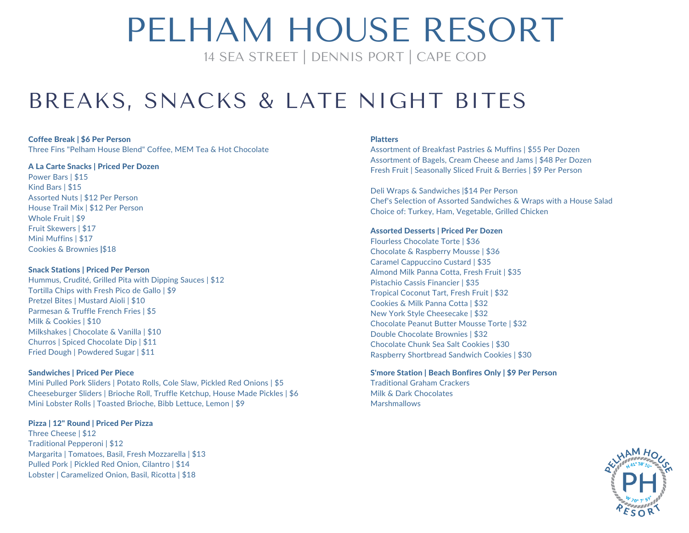14 SEA STREET | DENNIS PORT | CAPE COD

### BREAKS, SNACKS & LATE NIGHT BITES

#### Coffee Break | \$6 Per Person

Three Fins "Pelham House Blend" Coffee, MEM Tea & Hot Chocolate

#### A La Carte Snacks | Priced Per Dozen

Power Bars | \$15 Kind Bars | \$15 Assorted Nuts | \$12 Per Person House Trail Mix | \$12 Per Person Whole Fruit | \$9 Fruit Skewers | \$17 Mini Muffins | \$17 Cookies & Brownies |\$18

### Snack Stations | Priced Per Person

Hummus, Crudité, Grilled Pita with Dipping Sauces | \$12 Tortilla Chips with Fresh Pico de Gallo | \$9 Pretzel Bites | Mustard Aioli | \$10 Parmesan & Truffle French Fries | \$5 Milk & Cookies | \$10 Milkshakes | Chocolate & Vanilla | \$10 Churros | Spiced Chocolate Dip | \$11 Fried Dough | Powdered Sugar | \$11

### Sandwiches | Priced Per Piece

Mini Pulled Pork Sliders | Potato Rolls, Cole Slaw, Pickled Red Onions | \$5 Cheeseburger Sliders | Brioche Roll, Truffle Ketchup, House Made Pickles | \$6 Mini Lobster Rolls | Toasted Brioche, Bibb Lettuce, Lemon | \$9

### Pizza | 12" Round | Priced Per Pizza

Three Cheese | \$12 Traditional Pepperoni | \$12 Margarita | Tomatoes, Basil, Fresh Mozzarella | \$13 Pulled Pork | Pickled Red Onion, Cilantro | \$14 Lobster | Caramelized Onion, Basil, Ricotta | \$18

### **Platters**

Assortment of Breakfast Pastries & Muffins | \$55 Per Dozen Assortment of Bagels, Cream Cheese and Jams | \$48 Per Dozen Fresh Fruit | Seasonally Sliced Fruit & Berries | \$9 Per Person

Deli Wraps & Sandwiches |\$14 Per Person Chef's Selection of Assorted Sandwiches & Wraps with a House Salad Choice of: Turkey, Ham, Vegetable, Grilled Chicken

### Assorted Desserts | Priced Per Dozen

Flourless Chocolate Torte | \$36 Chocolate & Raspberry Mousse | \$36 Caramel Cappuccino Custard | \$35 Almond Milk Panna Cotta, Fresh Fruit | \$35 Pistachio Cassis Financier | \$35 Tropical Coconut Tart, Fresh Fruit | \$32 Cookies & Milk Panna Cotta | \$32 New York Style Cheesecake | \$32 Chocolate Peanut Butter Mousse Torte | \$32 Double Chocolate Brownies | \$32 Chocolate Chunk Sea Salt Cookies | \$30 Raspberry Shortbread Sandwich Cookies | \$30

#### S'more Station | Beach Bonfires Only | \$9 Per Person Traditional Graham Crackers

Milk & Dark Chocolates **Marshmallows** 

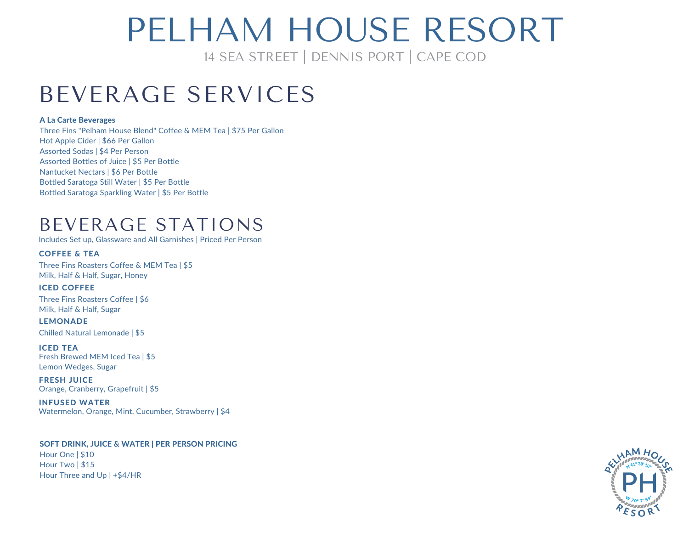## PFI HAM HOUSE RESORT

14 SEA STREET | DENNIS PORT | CAPE COD

### BEVERAGE SERVICES

### A La Carte Beverages

Three Fins "Pelham House Blend" Coffee & MEM Tea | \$75 Per Gallon Hot Apple Cider | \$66 Per Gallon Assorted Sodas | \$4 Per Person Assorted Bottles of Juice | \$5 Per Bottle Nantucket Nectars | \$6 Per Bottle Bottled Saratoga Still Water | \$5 Per Bottle Bottled Saratoga Sparkling Water | \$5 Per Bottle

### BEVERAGE STATIONS

Includes Set up, Glassware and All Garnishes | Priced Per Person

### COFFEE & TEA

Three Fins Roasters Coffee & MEM Tea | \$5 Milk, Half & Half, Sugar, Honey

ICED COFFEE Three Fins Roasters Coffee | \$6 Milk, Half & Half, Sugar

**LEMONADE** Chilled Natural Lemonade | \$5

ICED TEA Fresh Brewed MEM Iced Tea | \$5 Lemon Wedges, Sugar

FRESH JUICE Orange, Cranberry, Grapefruit | \$5

INFUSED WATER Watermelon, Orange, Mint, Cucumber, Strawberry | \$4

### SOFT DRINK, JUICE & WATER | PER PERSON PRICING

Hour One | \$10 Hour Two | \$15 Hour Three and Up | +\$4/HR

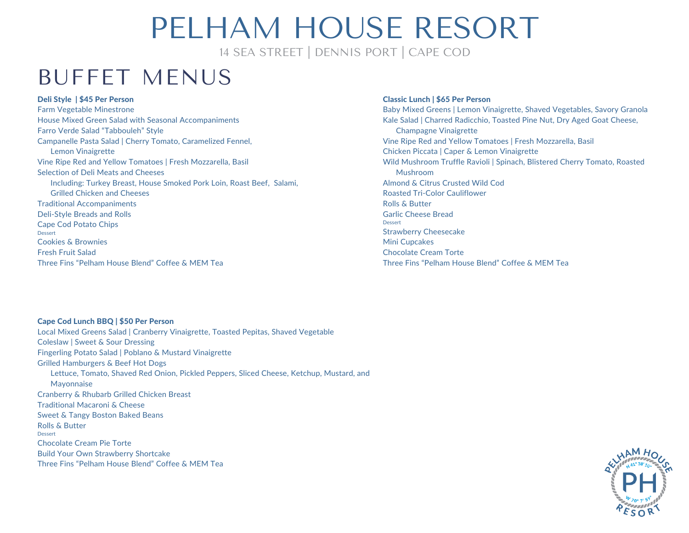14 SEA STREET | DENNIS PORT | CAPE COD

### BUFFET MENUS

### Deli Style | \$45 Per Person

Farm Vegetable Minestrone House Mixed Green Salad with Seasonal Accompaniments Farro Verde Salad "Tabbouleh" Style Campanelle Pasta Salad | Cherry Tomato, Caramelized Fennel, Lemon Vinaigrette Vine Ripe Red and Yellow Tomatoes | Fresh Mozzarella, Basil Selection of Deli Meats and Cheeses Including: Turkey Breast, House Smoked Pork Loin, Roast Beef, Salami, Grilled Chicken and Cheeses Traditional Accompaniments Deli-Style Breads and Rolls Cape Cod Potato Chips Dessert Cookies & Brownies Fresh Fruit Salad Three Fins "Pelham House Blend" Coffee & MEM Tea

#### Classic Lunch | \$65 Per Person

Baby Mixed Greens | Lemon Vinaigrette, Shaved Vegetables, Savory Granola Kale Salad | Charred Radicchio, Toasted Pine Nut, Dry Aged Goat Cheese, Champagne Vinaigrette Vine Ripe Red and Yellow Tomatoes | Fresh Mozzarella, Basil Chicken Piccata | Caper & Lemon Vinaigrette Wild Mushroom Truffle Ravioli | Spinach, Blistered Cherry Tomato, Roasted Mushroom Almond & Citrus Crusted Wild Cod Roasted Tri-Color Cauliflower Rolls & Butter Garlic Cheese Bread Dessert Strawberry Cheesecake Mini Cupcakes Chocolate Cream Torte Three Fins "Pelham House Blend" Coffee & MEM Tea

### Cape Cod Lunch BBQ | \$50 Per Person

Local Mixed Greens Salad | Cranberry Vinaigrette, Toasted Pepitas, Shaved Vegetable Coleslaw |Sweet & Sour Dressing Fingerling Potato Salad | Poblano & Mustard Vinaigrette Grilled Hamburgers & Beef Hot Dogs Lettuce, Tomato, Shaved Red Onion, Pickled Peppers, Sliced Cheese, Ketchup, Mustard, and Mayonnaise Cranberry & Rhubarb Grilled Chicken Breast Traditional Macaroni & Cheese Sweet & Tangy Boston Baked Beans Rolls & Butter Dessert Chocolate Cream Pie Torte Build Your Own Strawberry Shortcake Three Fins "Pelham House Blend" Coffee & MEM Tea

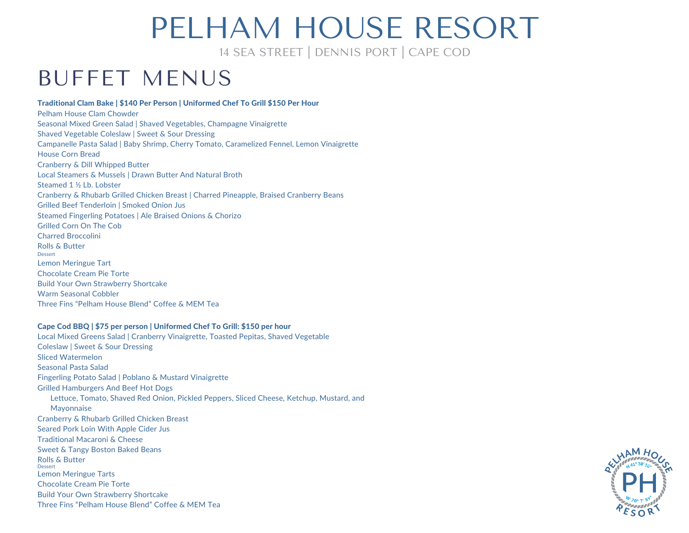14 SEA STREET | DENNIS PORT | CAPE COD

### BUFFET MENUS

### Traditional Clam Bake | \$140 Per Person | Uniformed Chef To Grill \$150 Per Hour

Pelham House Clam Chowder Seasonal Mixed Green Salad | Shaved Vegetables, Champagne Vinaigrette Shaved Vegetable Coleslaw | Sweet & Sour Dressing Campanelle Pasta Salad | Baby Shrimp, Cherry Tomato, Caramelized Fennel, Lemon Vinaigrette House Corn Bread Cranberry & Dill Whipped Butter Local Steamers & Mussels | Drawn Butter And Natural Broth Steamed 1 ½ Lb. Lobster Cranberry & Rhubarb Grilled Chicken Breast | Charred Pineapple, Braised Cranberry Beans Grilled Beef Tenderloin | Smoked Onion Jus Steamed Fingerling Potatoes | Ale Braised Onions & Chorizo Grilled Corn On The Cob Charred Broccolini Rolls & Butter Dessert Lemon Meringue Tart Chocolate Cream Pie Torte Build Your Own Strawberry Shortcake Warm Seasonal Cobbler Three Fins "Pelham House Blend" Coffee & MEM Tea

#### Cape Cod BBQ |\$75 per person | Uniformed Chef To Grill: \$150 per hour

Local Mixed Greens Salad | Cranberry Vinaigrette, Toasted Pepitas, Shaved Vegetable Coleslaw |Sweet & Sour Dressing Sliced Watermelon Seasonal Pasta Salad Fingerling Potato Salad | Poblano & Mustard Vinaigrette Grilled Hamburgers And Beef Hot Dogs Lettuce, Tomato, Shaved Red Onion, Pickled Peppers, Sliced Cheese, Ketchup, Mustard, and Mayonnaise Cranberry & Rhubarb Grilled Chicken Breast Seared Pork Loin With Apple Cider Jus Traditional Macaroni & Cheese Sweet & Tangy Boston Baked Beans Rolls & Butter Dessert Lemon Meringue Tarts Chocolate Cream Pie Torte Build Your Own Strawberry Shortcake Three Fins "Pelham House Blend" Coffee & MEM Tea

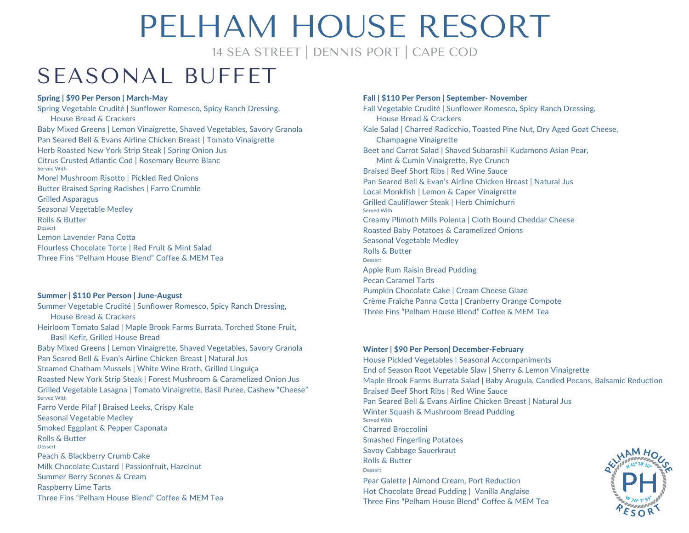14 SEA STREET | DENNIS PORT | CAPE COD

### SEASONAL BUFFET

### Spring | \$90 Per Person | March-May

Spring Vegetable Crudité | Sunflower Romesco, Spicy Ranch Dressing, House Bread & Crackers Baby Mixed Greens | Lemon Vinaigrette, Shaved Vegetables, Savory Granola Pan Seared Bell & Evans Airline Chicken Breast | Tomato Vinaigrette Herb Roasted New York Strip Steak | Spring Onion Jus Citrus Crusted Atlantic Cod | Rosemary Beurre Blanc Served With Morel Mushroom Risotto | Pickled Red Onions Butter Braised Spring Radishes | Farro Crumble Grilled Asparagus Seasonal Vegetable Medley Rolls & Butter Dessert Lemon Lavender Pana Cotta Flourless Chocolate Torte | Red Fruit & Mint Salad Three Fins "Pelham House Blend" Coffee & MEM Tea

#### Summer | \$110 Per Person | June-August

Summer Vegetable Crudité | Sunflower Romesco, Spicy Ranch Dressing, House Bread & Crackers Heirloom Tomato Salad | Maple Brook Farms Burrata, Torched Stone Fruit, Basil Kefir, Grilled House Bread Baby Mixed Greens | Lemon Vinaigrette, Shaved Vegetables, Savory Granola Pan Seared Bell & Evan's Airline Chicken Breast | Natural Jus Steamed Chatham Mussels | White Wine Broth, Grilled Linguiça Roasted New York Strip Steak | Forest Mushroom & Caramelized Onion Jus Grilled Vegetable Lasagna | Tomato Vinaigrette, Basil Puree, Cashew "Cheese" Served With Farro Verde Pilaf | Braised Leeks, Crispy Kale Seasonal Vegetable Medley Smoked Eggplant & Pepper Caponata Rolls & Butter Dessert Peach & Blackberry Crumb Cake Milk Chocolate Custard | Passionfruit, Hazelnut Summer Berry Scones & Cream Raspberry Lime Tarts Three Fins "Pelham House Blend" Coffee & MEM Tea

#### Fall | \$110 Per Person | September- November

Fall Vegetable Crudité | Sunflower Romesco, Spicy Ranch Dressing, House Bread & Crackers Kale Salad | Charred Radicchio, Toasted Pine Nut, Dry Aged Goat Cheese, Champagne Vinaigrette Beet and Carrot Salad | Shaved Subarashii Kudamono Asian Pear, Mint & Cumin Vinaigrette, Rye Crunch Braised Beef Short Ribs | Red Wine Sauce Pan Seared Bell & Evan's Airline Chicken Breast | Natural Jus Local Monkfish | Lemon & Caper Vinaigrette Grilled Cauliflower Steak | Herb Chimichurri Served With Creamy Plimoth Mills Polenta | Cloth Bound Cheddar Cheese Roasted Baby Potatoes & Caramelized Onions Seasonal Vegetable Medley Rolls & Butter Dessert Apple Rum Raisin Bread Pudding Pecan Caramel Tarts Pumpkin Chocolate Cake | Cream Cheese Glaze Crème Fraîche Panna Cotta | Cranberry Orange Compote Three Fins "Pelham House Blend" Coffee & MEM Tea

### Winter | \$90 Per Person| December-February House Pickled Vegetables | Seasonal Accompaniments End of Season Root Vegetable Slaw |Sherry & Lemon Vinaigrette Maple Brook Farms Burrata Salad | Baby Arugula, Candied Pecans, Balsamic Reduction Braised Beef Short Ribs | Red Wine Sauce Pan Seared Bell & Evans Airline Chicken Breast | Natural Jus Winter Squash & Mushroom Bread Pudding Served With Charred Broccolini Smashed Fingerling Potatoes Savoy Cabbage Sauerkraut Rolls & Butter Dessert Pear Galette | Almond Cream, Port Reduction Hot Chocolate Bread Pudding | Vanilla Anglaise Three Fins "Pelham House Blend" Coffee & MEM Tea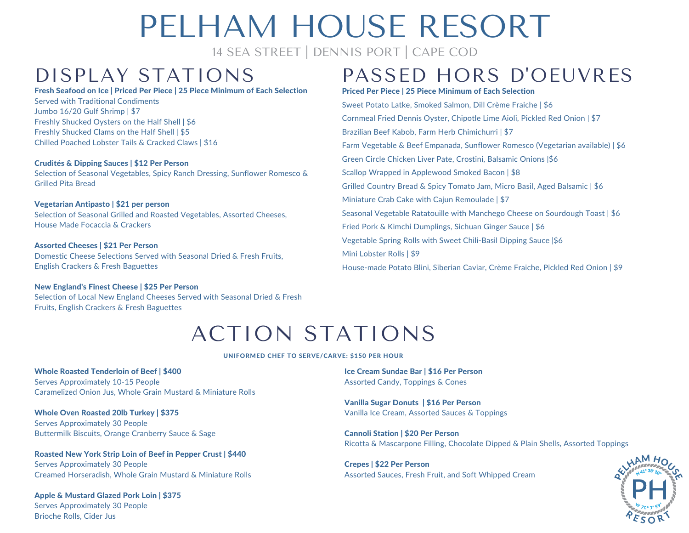14 SEA STREET | DENNIS PORT | CAPE COD

#### Fresh Seafood on Ice | Priced Per Piece | 25 Piece Minimum of Each Selection

Served with Traditional Condiments Jumbo 16/20 Gulf Shrimp | \$7 Freshly Shucked Oysters on the Half Shell | \$6 Freshly Shucked Clams on the Half Shell | \$5 Chilled Poached Lobster Tails & Cracked Claws | \$16

### Crudités & Dipping Sauces | \$12 Per Person

Selection of Seasonal Vegetables, Spicy Ranch Dressing, Sunflower Romesco & Grilled Pita Bread

### Vegetarian Antipasto | \$21 per person

Selection of Seasonal Grilled and Roasted Vegetables, Assorted Cheeses, House Made Focaccia & Crackers

### Assorted Cheeses | \$21 Per Person

Domestic Cheese Selections Served with Seasonal Dried & Fresh Fruits, English Crackers & Fresh Baguettes

### New England's Finest Cheese | \$25 Per Person

Selection of Local New England Cheeses Served with Seasonal Dried & Fresh Fruits, English Crackers & Fresh Baguettes

### DISPLAY STATIONS PASSED HORS D'OEUVRES

Priced Per Piece | 25 Piece Minimum of Each Selection

Sweet Potato Latke, Smoked Salmon, Dill Crème Fraiche | \$6 Cornmeal Fried Dennis Oyster, Chipotle Lime Aioli, Pickled Red Onion | \$7 Brazilian Beef Kabob, Farm Herb Chimichurri | \$7 Farm Vegetable & Beef Empanada, Sunflower Romesco (Vegetarian available) | \$6 Green Circle Chicken Liver Pate, Crostini, Balsamic Onions |\$6 Scallop Wrapped in Applewood Smoked Bacon | \$8 Grilled Country Bread & Spicy Tomato Jam, Micro Basil, Aged Balsamic | \$6 Miniature Crab Cake with Cajun Remoulade | \$7 Seasonal Vegetable Ratatouille with Manchego Cheese on Sourdough Toast | \$6 Fried Pork & Kimchi Dumplings, Sichuan Ginger Sauce | \$6 Vegetable Spring Rolls with Sweet Chili-Basil Dipping Sauce |\$6 Mini Lobster Rolls | \$9 House-made Potato Blini, Siberian Caviar, Crème Fraiche, Pickled Red Onion | \$9

### ACTION STATIONS

UNIFORMED CHEF TO SERVE/CARVE: \$150 PER HOUR

Whole Roasted Tenderloin of Beef | \$400 Serves Approximately 10-15 People Caramelized Onion Jus, Whole Grain Mustard & Miniature Rolls

Whole Oven Roasted 20lb Turkey | \$375 Serves Approximately 30 People Buttermilk Biscuits, Orange Cranberry Sauce & Sage

Roasted New York Strip Loin of Beef in Pepper Crust | \$440 Serves Approximately 30 People Creamed Horseradish, Whole Grain Mustard & Miniature Rolls

Apple & Mustard Glazed Pork Loin | \$375 Serves Approximately 30 People Brioche Rolls, Cider Jus

Ice Cream Sundae Bar | \$16 Per Person Assorted Candy, Toppings & Cones

Vanilla Sugar Donuts | \$16 Per Person Vanilla Ice Cream, Assorted Sauces & Toppings

Cannoli Station | \$20 Per Person Ricotta & Mascarpone Filling, Chocolate Dipped & Plain Shells, Assorted Toppings

Crepes | \$22 Per Person Assorted Sauces, Fresh Fruit, and Soft Whipped Cream

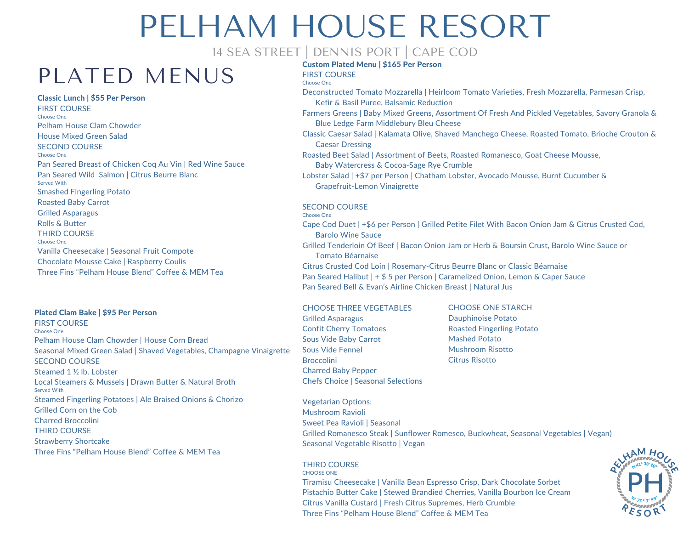### 14 SEA STREET | DENNIS PORT | CAPE COD

### PLATED MENUS

### Classic Lunch | \$55 Per Person

FIRST COURSE Choose One Pelham House Clam Chowder House Mixed Green Salad SECOND COURSE Choose One Pan Seared Breast of Chicken Coq Au Vin | Red Wine Sauce Pan Seared Wild Salmon | Citrus Beurre Blanc Served With Smashed Fingerling Potato Roasted Baby Carrot Grilled Asparagus Rolls & Butter THIRD COURSE Choose One Vanilla Cheesecake | Seasonal Fruit Compote Chocolate Mousse Cake | Raspberry Coulis Three Fins "Pelham House Blend" Coffee & MEM Tea

### Plated Clam Bake | \$95 Per Person

FIRST COURSE Choose One Pelham House Clam Chowder | House Corn Bread Seasonal Mixed Green Salad | Shaved Vegetables, Champagne Vinaigrette SECOND COURSE Steamed 1 ½ lb. Lobster Local Steamers & Mussels | Drawn Butter & Natural Broth Served With Steamed Fingerling Potatoes | Ale Braised Onions & Chorizo Grilled Corn on the Cob Charred Broccolini THIRD COURSE Strawberry Shortcake Three Fins "Pelham House Blend" Coffee & MEM Tea

### Custom Plated Menu | \$165 Per Person

FIRST COURSE Choose One

- Deconstructed Tomato Mozzarella | Heirloom Tomato Varieties, Fresh Mozzarella, Parmesan Crisp, Kefir & Basil Puree, Balsamic Reduction
- Farmers Greens | Baby Mixed Greens, Assortment Of Fresh And Pickled Vegetables, Savory Granola & Blue Ledge Farm Middlebury Bleu Cheese
- Classic Caesar Salad | Kalamata Olive, Shaved Manchego Cheese, Roasted Tomato, Brioche Crouton & Caesar Dressing
- Roasted Beet Salad | Assortment of Beets, Roasted Romanesco, Goat Cheese Mousse, Baby Watercress & Cocoa-Sage Rye Crumble
- Lobster Salad | +\$7 per Person | Chatham Lobster, Avocado Mousse, Burnt Cucumber & Grapefruit-Lemon Vinaigrette

#### SECOND COURSE Choose One

Cape Cod Duet | +\$6 per Person | Grilled Petite Filet With Bacon Onion Jam & Citrus Crusted Cod, Barolo Wine Sauce

Grilled Tenderloin Of Beef | Bacon Onion Jam or Herb & Boursin Crust, Barolo Wine Sauce or Tomato Béarnaise

Citrus Crusted Cod Loin | Rosemary-Citrus Beurre Blanc or Classic Béarnaise Pan Seared Halibut | + \$ 5 per Person | Caramelized Onion, Lemon & Caper Sauce Pan Seared Bell & Evan's Airline Chicken Breast | Natural Jus

### CHOOSE THREE VEGETABLES

- Grilled Asparagus Confit Cherry Tomatoes Sous Vide Baby Carrot Sous Vide Fennel **Broccolini** Charred Baby Pepper Chefs Choice | Seasonal Selections
- CHOOSE ONE STARCH Dauphinoise Potato Roasted Fingerling Potato Mashed Potato Mushroom Risotto Citrus Risotto

Vegetarian Options: Mushroom Ravioli Sweet Pea Ravioli | Seasonal Grilled Romanesco Steak | Sunflower Romesco, Buckwheat, Seasonal Vegetables | Vegan) Seasonal Vegetable Risotto | Vegan

#### THIRD COURSE CHOOSE ONE

Tiramisu Cheesecake | Vanilla Bean Espresso Crisp, Dark Chocolate Sorbet Pistachio Butter Cake | Stewed Brandied Cherries, Vanilla Bourbon Ice Cream Citrus Vanilla Custard | Fresh Citrus Supremes, Herb Crumble Three Fins "Pelham House Blend" Coffee & MEM Tea

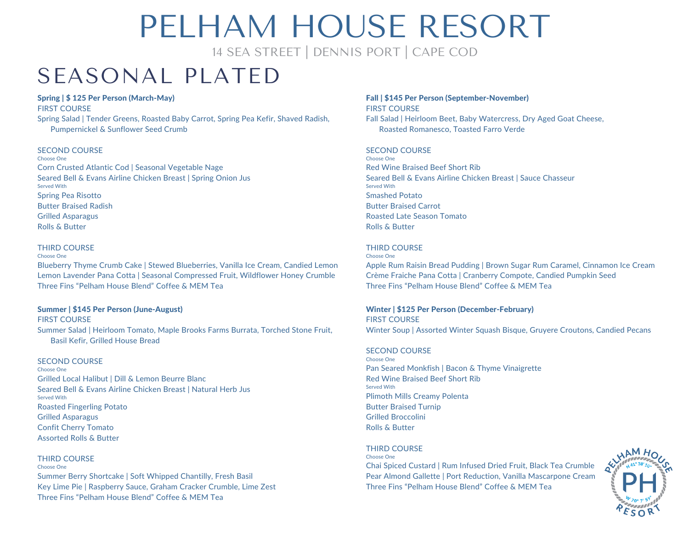14 SEA STREET | DENNIS PORT | CAPE COD

### SEASONAL PLATED

#### Spring | \$ 125 Per Person (March-May)

FIRST COURSE

Spring Salad | Tender Greens, Roasted Baby Carrot, Spring Pea Kefir, Shaved Radish, Pumpernickel & Sunflower Seed Crumb

### SECOND COURSE

Choose One Corn Crusted Atlantic Cod | Seasonal Vegetable Nage Seared Bell & Evans Airline Chicken Breast | Spring Onion Jus Served With Spring Pea Risotto Butter Braised Radish Grilled Asparagus Rolls & Butter

#### THIRD COURSE

Choose One

Blueberry Thyme Crumb Cake | Stewed Blueberries, Vanilla Ice Cream, Candied Lemon Lemon Lavender Pana Cotta | Seasonal Compressed Fruit, Wildflower Honey Crumble Three Fins "Pelham House Blend" Coffee & MEM Tea

### Summer | \$145 Per Person (June-August)

FIRST COURSE Summer Salad | Heirloom Tomato, Maple Brooks Farms Burrata, Torched Stone Fruit, Basil Kefir, Grilled House Bread

### SECOND COURSE

Choose One Grilled Local Halibut | Dill & Lemon Beurre Blanc Seared Bell & Evans Airline Chicken Breast | Natural Herb Jus Served With Roasted Fingerling Potato Grilled Asparagus Confit Cherry Tomato Assorted Rolls & Butter

### THIRD COURSE

Choose One

Summer Berry Shortcake | Soft Whipped Chantilly, Fresh Basil Key Lime Pie | Raspberry Sauce, Graham Cracker Crumble, Lime Zest Three Fins "Pelham House Blend" Coffee & MEM Tea

### Fall | \$145 Per Person (September-November)

FIRST COURSE Fall Salad | Heirloom Beet, Baby Watercress, Dry Aged Goat Cheese, Roasted Romanesco, Toasted Farro Verde

#### SECOND COURSE

Choose One Red Wine Braised Beef Short Rib Seared Bell & Evans Airline Chicken Breast | Sauce Chasseur Served With Smashed Potato Butter Braised Carrot Roasted Late Season Tomato Rolls & Butter

### THIRD COURSE

Choose One

Apple Rum Raisin Bread Pudding | Brown Sugar Rum Caramel, Cinnamon Ice Cream Crème Fraiche Pana Cotta | Cranberry Compote, Candied Pumpkin Seed Three Fins "Pelham House Blend" Coffee & MEM Tea

### Winter | \$125 Per Person (December-February)

FIRST COURSE Winter Soup | Assorted Winter Squash Bisque, Gruyere Croutons, Candied Pecans

### SECOND COURSE

Choose One Pan Seared Monkfish | Bacon & Thyme Vinaigrette Red Wine Braised Beef Short Rib Served With Plimoth Mills Creamy Polenta Butter Braised Turnip Grilled Broccolini Rolls & Butter

### THIRD COURSE

Choose One

Chai Spiced Custard | Rum Infused Dried Fruit, Black Tea Crumble Pear Almond Gallette | Port Reduction, Vanilla Mascarpone Cream Three Fins "Pelham House Blend" Coffee & MEM Tea

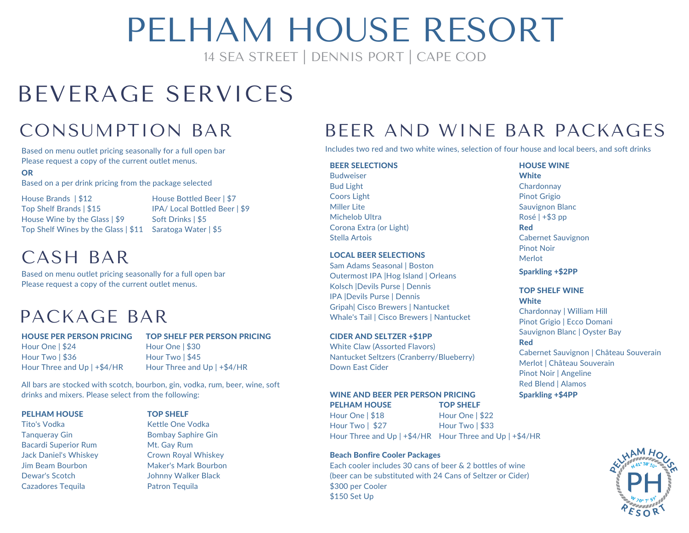## PFI HAM HOUSE RESORT

14 SEA STREET | DENNIS PORT | CAPE COD

## BEVERAGE SERVICES

### CONSUMPTION BAR

Based on menu outlet pricing seasonally for a full open bar Please request a copy of the current outlet menus.

### OR

Based on a per drink pricing from the package selected

House Brands | \$12 Top Shelf Brands | \$15 House Wine by the Glass | \$9 Top Shelf Wines by the Glass | \$11 Saratoga Water | \$5

House Bottled Beer | \$7 IPA/ Local Bottled Beer | \$9 Soft Drinks | \$5

### CASH BAR

Based on menu outlet pricing seasonally for a full open bar Please request a copy of the current outlet menus.

### PACKAGE BAR

### HOUSE PER PERSON PRICING

Hour Three and Up | +\$4/HR

### TOP SHELF PER PERSON PRICING

Hour One | \$30 Hour Two | \$45 Hour Three and Up | +\$4/HR

All bars are stocked with scotch, bourbon, gin, vodka, rum, beer, wine, soft drinks and mixers. Please select from the following:

### PFI HAM HOUSE

Hour One | \$24 Hour Two | \$36

Tito's Vodka Tanqueray Gin Bacardi Superior Rum Jack Daniel's Whiskey Jim Beam Bourbon Dewar's Scotch Cazadores Tequila

### TOP SHELF

Kettle One Vodka Bombay Saphire Gin Mt. Gay Rum Crown Royal Whiskey Maker's Mark Bourbon Johnny Walker Black Patron Tequila

### BEER AND WINE BAR PACKAGES

Includes two red and two white wines, selection of four house and local beers, and soft drinks

### BEER SELECTIONS

Budweiser Bud Light Coors Light Miller Lite Michelob Ultra Corona Extra (or Light) Stella Artois

### LOCAL BEER SELECTIONS

Sam Adams Seasonal | Boston Outermost IPA |Hog Island | Orleans Kolsch |Devils Purse | Dennis IPA |Devils Purse | Dennis Gripah| Cisco Brewers | Nantucket Whale's Tail | Cisco Brewers | Nantucket

### CIDER AND SELTZER +\$1PP

White Claw (Assorted Flavors) Nantucket Seltzers (Cranberry/Blueberry) Down East Cider

#### WINE AND BEER PER PERSON PRICING PELHAM HOUSE TOP SHELF

Hour One | \$18 Hour Two | \$27 Hour Three and Up | +\$4/HR Hour Three and Up | +\$4/HR Hour One | \$22 Hour Two | \$33

### Beach Bonfire Cooler Packages

Each cooler includes 30 cans of beer & 2 bottles of wine (beer can be substituted with 24 Cans of Seltzer or Cider) \$300 per Cooler \$150 Set Up

### HOUSE WINE

**White Chardonnay** Pinot Grigio Sauvignon Blanc Rosé | +\$3 pp Red Cabernet Sauvignon Pinot Noir Merlot

Sparkling +\$2PP

#### TOP SHELF WINE **White**

Chardonnay | William Hill Pinot Grigio | Ecco Domani Sauvignon Blanc | Oyster Bay

### Red

Cabernet Sauvignon | Château Souverain Merlot | Château Souverain Pinot Noir | Angeline Red Blend | Alamos Sparkling +\$4PP